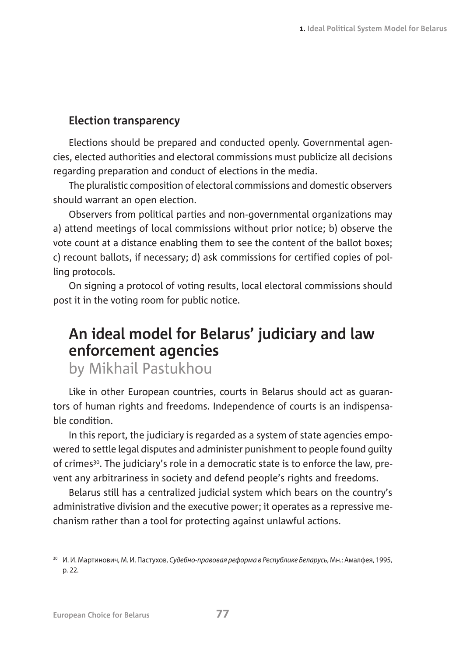## **Election transparency**

Elections should be prepared and conducted openly. Governmental agencies, elected authorities and electoral commissions must publicize all decisions regarding preparation and conduct of elections in the media.

The pluralistic composition of electoral commissions and domestic observers should warrant an open election.

Observers from political parties and non-governmental organizations may a) attend meetings of local commissions without prior notice; b) observe the vote count at a distance enabling them to see the content of the ballot boxes; c) recount ballots, if necessary; d) ask commissions for certified copies of polling protocols.

On signing a protocol of voting results, local electoral commissions should post it in the voting room for public notice.

## **An ideal model for Belarus' judiciary and law enforcement agencies**

by Mikhail Pastukhou

Like in other European countries, courts in Belarus should act as guarantors of human rights and freedoms. Independence of courts is an indispensable condition.

In this report, the judiciary is regarded as a system of state agencies empowered to settle legal disputes and administer punishment to people found guilty of crimes<sup>30</sup>. The judiciary's role in a democratic state is to enforce the law, prevent any arbitrariness in society and defend people's rights and freedoms.

Belarus still has a centralized judicial system which bears on the country's administrative division and the executive power; it operates as a repressive mechanism rather than a tool for protecting against unlawful actions.

<sup>&</sup>lt;sup>30</sup> И. И. Мартинович, М. И. Пастухов, Судебно-правовая реформа в Республике Беларусь, Мн.: Амалфея, 1995, p. 22.